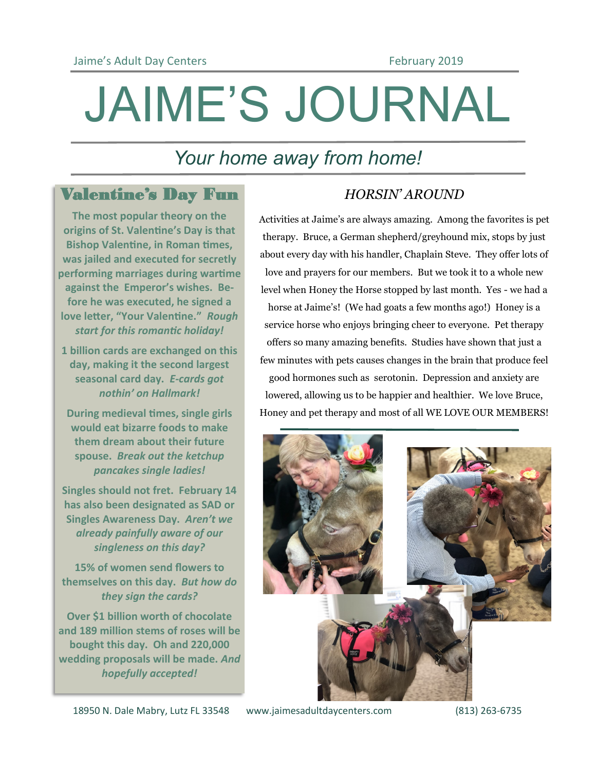# JAIME'S JOURNAL

# *Your home away from home!*

### Valentine's Day Fun

**The most popular theory on the origins of St. Valentine's Day is that Bishop Valentine, in Roman times, was jailed and executed for secretly performing marriages during wartime against the Emperor's wishes. Before he was executed, he signed a love letter, "Your Valentine."** *Rough start for this romantic holiday!*

**1 billion cards are exchanged on this day, making it the second largest seasonal card day.** *E-cards got nothin' on Hallmark!*

**During medieval times, single girls would eat bizarre foods to make them dream about their future spouse.** *Break out the ketchup pancakes single ladies!*

**Singles should not fret. February 14 has also been designated as SAD or Singles Awareness Day.** *Aren't we already painfully aware of our singleness on this day?*

**15% of women send flowers to themselves on this day.** *But how do they sign the cards?*

**Over \$1 billion worth of chocolate and 189 million stems of roses will be bought this day. Oh and 220,000 wedding proposals will be made.** *And hopefully accepted!*

### *HORSIN' AROUND*

Activities at Jaime's are always amazing. Among the favorites is pet therapy. Bruce, a German shepherd/greyhound mix, stops by just about every day with his handler, Chaplain Steve. They offer lots of love and prayers for our members. But we took it to a whole new level when Honey the Horse stopped by last month. Yes - we had a horse at Jaime's! (We had goats a few months ago!) Honey is a service horse who enjoys bringing cheer to everyone. Pet therapy offers so many amazing benefits. Studies have shown that just a few minutes with pets causes changes in the brain that produce feel good hormones such as serotonin. Depression and anxiety are lowered, allowing us to be happier and healthier. We love Bruce, Honey and pet therapy and most of all WE LOVE OUR MEMBERS!

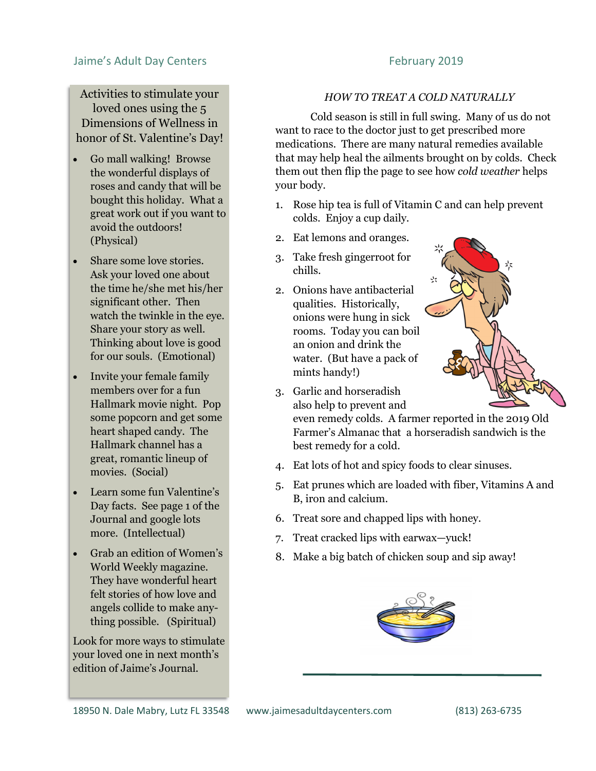### Jaime's Adult Day Centers February 2019

Activities to stimulate your loved ones using the 5 Dimensions of Wellness in honor of St. Valentine's Day!

- Go mall walking! Browse the wonderful displays of roses and candy that will be bought this holiday. What a great work out if you want to avoid the outdoors! (Physical)
- Share some love stories. Ask your loved one about the time he/she met his/her significant other. Then watch the twinkle in the eye. Share your story as well. Thinking about love is good for our souls. (Emotional)
- Invite your female family members over for a fun Hallmark movie night. Pop some popcorn and get some heart shaped candy. The Hallmark channel has a great, romantic lineup of movies. (Social)
- Learn some fun Valentine's Day facts. See page 1 of the Journal and google lots more. (Intellectual)
- Grab an edition of Women's World Weekly magazine. They have wonderful heart felt stories of how love and angels collide to make anything possible. (Spiritual)

Look for more ways to stimulate your loved one in next month's edition of Jaime's Journal.

### *HOW TO TREAT A COLD NATURALLY*

Cold season is still in full swing. Many of us do not want to race to the doctor just to get prescribed more medications. There are many natural remedies available that may help heal the ailments brought on by colds. Check them out then flip the page to see how *cold weather* helps your body.

- 1. Rose hip tea is full of Vitamin C and can help prevent colds. Enjoy a cup daily.
- 2. Eat lemons and oranges.
- 3. Take fresh gingerroot for chills.
- 2. Onions have antibacterial qualities. Historically, onions were hung in sick rooms. Today you can boil an onion and drink the water. (But have a pack of mints handy!)



3. Garlic and horseradish also help to prevent and

even remedy colds. A farmer reported in the 2019 Old Farmer's Almanac that a horseradish sandwich is the best remedy for a cold.

- 4. Eat lots of hot and spicy foods to clear sinuses.
- 5. Eat prunes which are loaded with fiber, Vitamins A and B, iron and calcium.
- 6. Treat sore and chapped lips with honey.
- 7. Treat cracked lips with earwax—yuck!
- 8. Make a big batch of chicken soup and sip away!

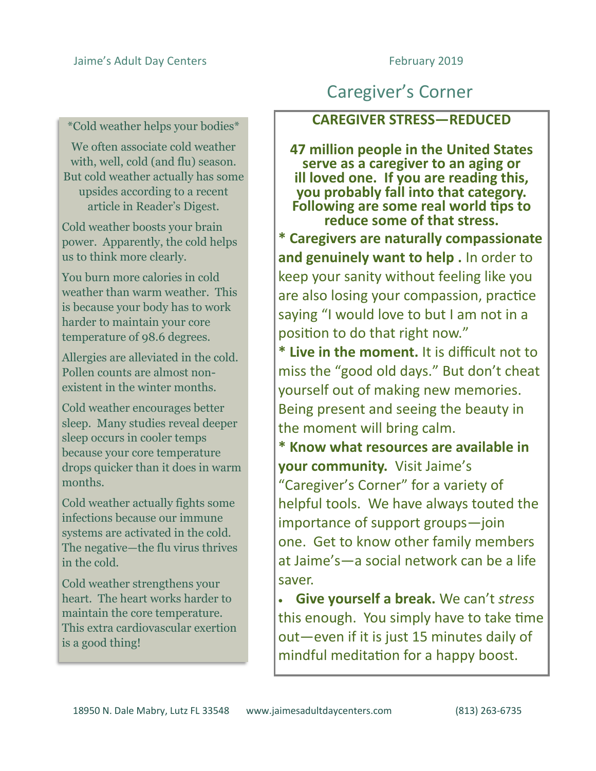### \*Cold weather helps your bodies\*

We often associate cold weather with, well, cold (and flu) season. But cold weather actually has some upsides according to a recent article in Reader's Digest.

Cold weather boosts your brain power. Apparently, the cold helps us to think more clearly.

You burn more calories in cold weather than warm weather. This is because your body has to work harder to maintain your core temperature of 98.6 degrees.

Allergies are alleviated in the cold. Pollen counts are almost nonexistent in the winter months.

Cold weather encourages better sleep. Many studies reveal deeper sleep occurs in cooler temps because your core temperature drops quicker than it does in warm months.

Cold weather actually fights some infections because our immune systems are activated in the cold. The negative—the flu virus thrives in the cold.

Cold weather strengthens your heart. The heart works harder to maintain the core temperature. This extra cardiovascular exertion is a good thing!

# Caregiver's Corner

### **CAREGIVER STRESS—REDUCED**

**47 million people in the United States serve as a caregiver to an aging or ill loved one. If you are reading this, you probably fall into that category. Following are some real world tips to reduce some of that stress. \* Caregivers are naturally compassionate and genuinely want to help .** In order to keep your sanity without feeling like you are also losing your compassion, practice saying "I would love to but I am not in a position to do that right now."

**\* Live in the moment.** It is difficult not to miss the "good old days." But don't cheat yourself out of making new memories. Being present and seeing the beauty in the moment will bring calm.

**\* Know what resources are available in your community.** Visit Jaime's "Caregiver's Corner" for a variety of helpful tools. We have always touted the importance of support groups—join one. Get to know other family members at Jaime's—a social network can be a life saver.

• **Give yourself a break.** We can't *stress*  this enough. You simply have to take time out—even if it is just 15 minutes daily of mindful meditation for a happy boost.